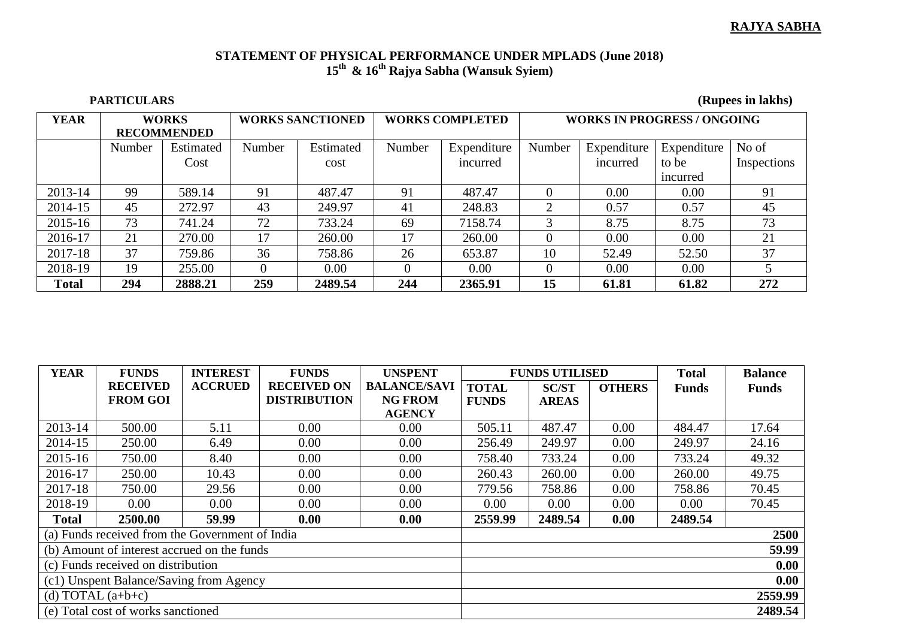## **RAJYA SABHA**

## **STATEMENT OF PHYSICAL PERFORMANCE UNDER MPLADS (June 2018) 15th & 16th Rajya Sabha (Wansuk Syiem)**

 **PARTICULARS (Rupees in lakhs)**

| <b>YEAR</b>  | <b>WORKS</b>       |           | <b>WORKS SANCTIONED</b> |           | <b>WORKS COMPLETED</b> |             | <b>WORKS IN PROGRESS / ONGOING</b> |             |             |             |
|--------------|--------------------|-----------|-------------------------|-----------|------------------------|-------------|------------------------------------|-------------|-------------|-------------|
|              | <b>RECOMMENDED</b> |           |                         |           |                        |             |                                    |             |             |             |
|              | Number             | Estimated | Number                  | Estimated | Number                 | Expenditure | Number                             | Expenditure | Expenditure | No of       |
|              |                    | Cost      |                         | cost      |                        | incurred    |                                    | incurred    | to be       | Inspections |
|              |                    |           |                         |           |                        |             |                                    |             | incurred    |             |
| 2013-14      | 99                 | 589.14    | 91                      | 487.47    | 91                     | 487.47      |                                    | 0.00        | 0.00        | 91          |
| 2014-15      | 45                 | 272.97    | 43                      | 249.97    | 41                     | 248.83      | റ                                  | 0.57        | 0.57        | 45          |
| 2015-16      | 73                 | 741.24    | 72                      | 733.24    | 69                     | 7158.74     | 3                                  | 8.75        | 8.75        | 73          |
| 2016-17      | 21                 | 270.00    | 17                      | 260.00    | 17                     | 260.00      |                                    | 0.00        | 0.00        | 21          |
| 2017-18      | 37                 | 759.86    | 36                      | 758.86    | 26                     | 653.87      | 10                                 | 52.49       | 52.50       | 37          |
| 2018-19      | 19                 | 255.00    | 0                       | 0.00      | 0                      | 0.00        |                                    | 0.00        | 0.00        |             |
| <b>Total</b> | 294                | 2888.21   | 259                     | 2489.54   | 244                    | 2365.91     | 15                                 | 61.81       | 61.82       | 272         |

| <b>YEAR</b>                                     | <b>FUNDS</b>    | <b>INTEREST</b> | <b>FUNDS</b>        | <b>UNSPENT</b>      | <b>FUNDS UTILISED</b> |              | <b>Total</b>  | <b>Balance</b> |              |  |  |
|-------------------------------------------------|-----------------|-----------------|---------------------|---------------------|-----------------------|--------------|---------------|----------------|--------------|--|--|
|                                                 | <b>RECEIVED</b> | <b>ACCRUED</b>  | <b>RECEIVED ON</b>  | <b>BALANCE/SAVI</b> | <b>TOTAL</b>          | <b>SC/ST</b> | <b>OTHERS</b> | <b>Funds</b>   | <b>Funds</b> |  |  |
|                                                 | <b>FROM GOI</b> |                 | <b>DISTRIBUTION</b> | <b>NG FROM</b>      | <b>FUNDS</b>          | <b>AREAS</b> |               |                |              |  |  |
|                                                 |                 |                 |                     | <b>AGENCY</b>       |                       |              |               |                |              |  |  |
| 2013-14                                         | 500.00          | 5.11            | 0.00                | 0.00                | 505.11                | 487.47       | 0.00          | 484.47         | 17.64        |  |  |
| 2014-15                                         | 250.00          | 6.49            | 0.00                | 0.00                | 256.49                | 249.97       | 0.00          | 249.97         | 24.16        |  |  |
| 2015-16                                         | 750.00          | 8.40            | 0.00                | 0.00                | 758.40                | 733.24       | 0.00          | 733.24         | 49.32        |  |  |
| 2016-17                                         | 250.00          | 10.43           | 0.00                | 0.00                | 260.43                | 260.00       | 0.00          | 260.00         | 49.75        |  |  |
| 2017-18                                         | 750.00          | 29.56           | 0.00                | 0.00                | 779.56                | 758.86       | 0.00          | 758.86         | 70.45        |  |  |
| 2018-19                                         | 0.00            | 0.00            | 0.00                | 0.00                | 0.00                  | 0.00         | 0.00          | 0.00           | 70.45        |  |  |
| <b>Total</b>                                    | 2500.00         | 59.99           | 0.00                | 0.00                | 2559.99               | 2489.54      | 0.00          | 2489.54        |              |  |  |
| (a) Funds received from the Government of India |                 |                 |                     |                     |                       | 2500         |               |                |              |  |  |
| (b) Amount of interest accrued on the funds     |                 |                 |                     |                     | 59.99                 |              |               |                |              |  |  |
| (c) Funds received on distribution              |                 |                 |                     |                     | 0.00                  |              |               |                |              |  |  |
| (c1) Unspent Balance/Saving from Agency         |                 |                 |                     |                     | 0.00                  |              |               |                |              |  |  |
| (d) TOTAL $(a+b+c)$                             |                 |                 |                     |                     | 2559.99               |              |               |                |              |  |  |
| (e) Total cost of works sanctioned              |                 |                 |                     |                     |                       |              |               |                | 2489.54      |  |  |